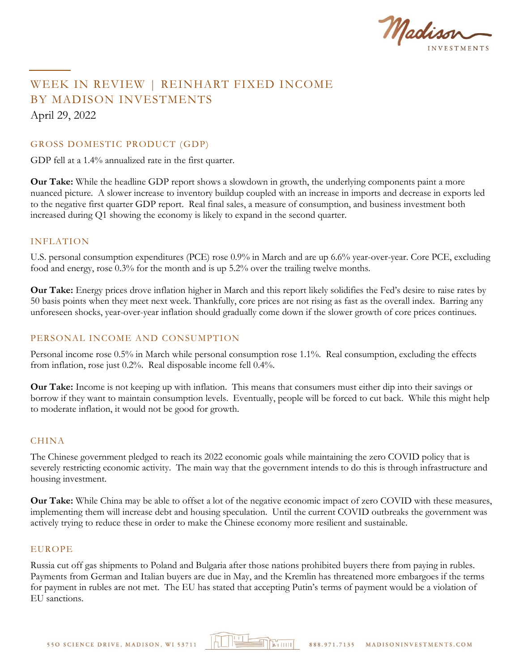

# WEEK IN REVIEW | REINHART FIXED INCOME BY MADISON INVESTMENTS April 29, 2022

### GROSS DOMESTIC PRODUCT (GDP)

GDP fell at a 1.4% annualized rate in the first quarter.

**Our Take:** While the headline GDP report shows a slowdown in growth, the underlying components paint a more nuanced picture. A slower increase to inventory buildup coupled with an increase in imports and decrease in exports led to the negative first quarter GDP report. Real final sales, a measure of consumption, and business investment both increased during Q1 showing the economy is likely to expand in the second quarter.

#### INFLATION

U.S. personal consumption expenditures (PCE) rose 0.9% in March and are up 6.6% year-over-year. Core PCE, excluding food and energy, rose 0.3% for the month and is up 5.2% over the trailing twelve months.

**Our Take:** Energy prices drove inflation higher in March and this report likely solidifies the Fed's desire to raise rates by 50 basis points when they meet next week. Thankfully, core prices are not rising as fast as the overall index. Barring any unforeseen shocks, year-over-year inflation should gradually come down if the slower growth of core prices continues.

#### PERSONAL INCOME AND CONSUMPTION

Personal income rose 0.5% in March while personal consumption rose 1.1%. Real consumption, excluding the effects from inflation, rose just 0.2%. Real disposable income fell 0.4%.

**Our Take:** Income is not keeping up with inflation. This means that consumers must either dip into their savings or borrow if they want to maintain consumption levels. Eventually, people will be forced to cut back. While this might help to moderate inflation, it would not be good for growth.

#### CHINA

The Chinese government pledged to reach its 2022 economic goals while maintaining the zero COVID policy that is severely restricting economic activity. The main way that the government intends to do this is through infrastructure and housing investment.

**Our Take:** While China may be able to offset a lot of the negative economic impact of zero COVID with these measures, implementing them will increase debt and housing speculation. Until the current COVID outbreaks the government was actively trying to reduce these in order to make the Chinese economy more resilient and sustainable.

#### **EUROPE**

Russia cut off gas shipments to Poland and Bulgaria after those nations prohibited buyers there from paying in rubles. Payments from German and Italian buyers are due in May, and the Kremlin has threatened more embargoes if the terms for payment in rubles are not met. The EU has stated that accepting Putin's terms of payment would be a violation of EU sanctions.

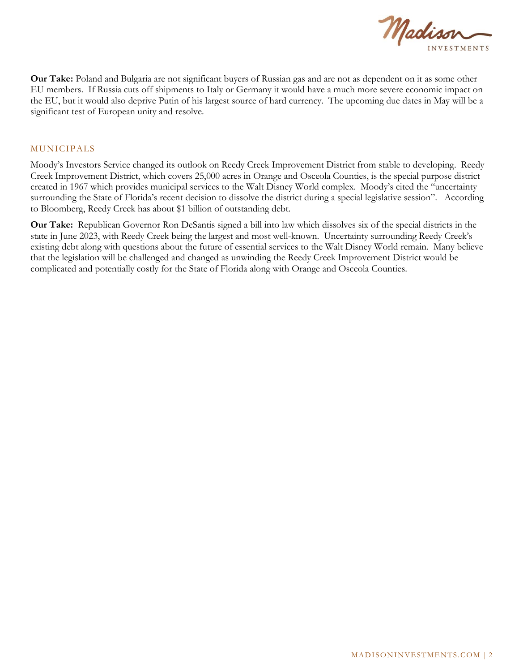

**Our Take:** Poland and Bulgaria are not significant buyers of Russian gas and are not as dependent on it as some other EU members. If Russia cuts off shipments to Italy or Germany it would have a much more severe economic impact on the EU, but it would also deprive Putin of his largest source of hard currency. The upcoming due dates in May will be a significant test of European unity and resolve.

#### MUNICIPALS

Moody's Investors Service changed its outlook on Reedy Creek Improvement District from stable to developing. Reedy Creek Improvement District, which covers 25,000 acres in Orange and Osceola Counties, is the special purpose district created in 1967 which provides municipal services to the Walt Disney World complex. Moody's cited the "uncertainty surrounding the State of Florida's recent decision to dissolve the district during a special legislative session". According to Bloomberg, Reedy Creek has about \$1 billion of outstanding debt.

**Our Take:** Republican Governor Ron DeSantis signed a bill into law which dissolves six of the special districts in the state in June 2023, with Reedy Creek being the largest and most well-known. Uncertainty surrounding Reedy Creek's existing debt along with questions about the future of essential services to the Walt Disney World remain. Many believe that the legislation will be challenged and changed as unwinding the Reedy Creek Improvement District would be complicated and potentially costly for the State of Florida along with Orange and Osceola Counties.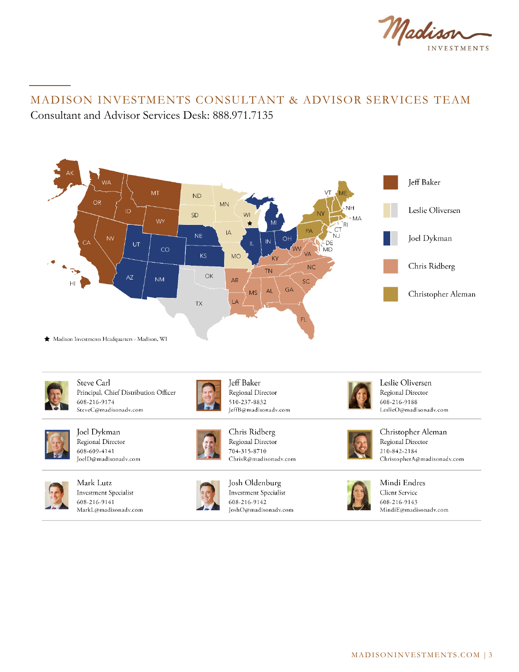

# MADISON INVESTMENTS CONSULTANT & ADVISOR SERVICES TEAM Consultant and Advisor Services Desk: 888.971.7135